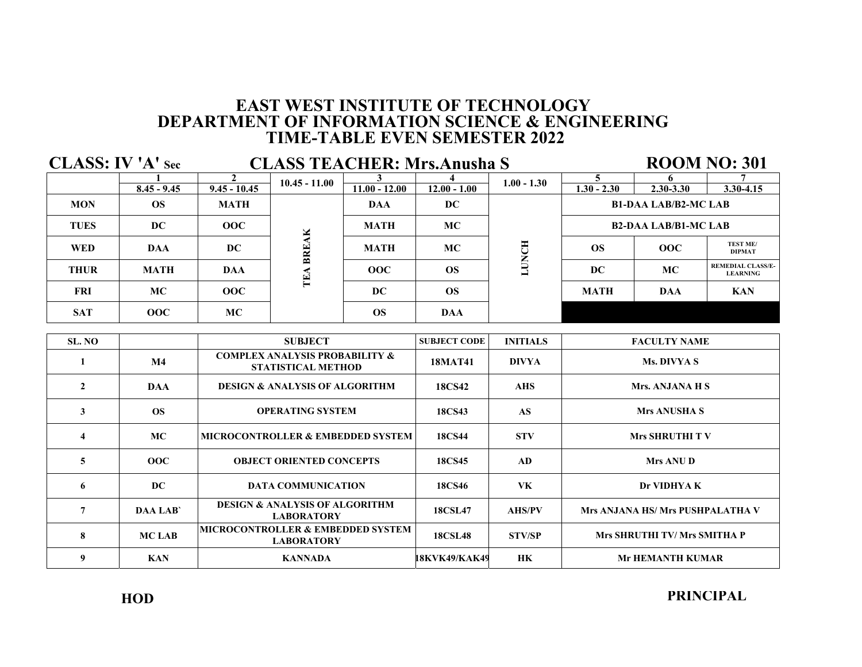| <b>CLASS: IV 'A' Sec</b><br><b>CLASS TEACHER: Mrs.Anusha S</b> |               |                                              |                                                                        |                 |                |                 |                             |               | <b>ROOM NO: 301</b>                         |
|----------------------------------------------------------------|---------------|----------------------------------------------|------------------------------------------------------------------------|-----------------|----------------|-----------------|-----------------------------|---------------|---------------------------------------------|
|                                                                | $8.45 - 9.45$ | $\mathbf{2}$<br>$9.45 - 10.45$               | $10.45 - 11.00$                                                        | $11.00 - 12.00$ | $12.00 - 1.00$ | $1.00 - 1.30$   | 5.<br>$1.30 - 2.30$         | $2.30 - 3.30$ | $3.30 - 4.15$                               |
| <b>MON</b>                                                     | OS.           | <b>MATH</b>                                  |                                                                        | <b>DAA</b>      | DC.            |                 | <b>B1-DAA LAB/B2-MC LAB</b> |               |                                             |
| <b>TUES</b>                                                    | DC            | 00C                                          |                                                                        | <b>MATH</b>     | <b>MC</b>      |                 | <b>B2-DAA LAB/B1-MC LAB</b> |               |                                             |
| <b>WED</b>                                                     | <b>DAA</b>    | DC                                           | TEA BREAK                                                              | <b>MATH</b>     | <b>MC</b>      | <b>LUNCH</b>    | OS                          | 00C           | TEST ME/<br><b>DIPMAT</b>                   |
| <b>THUR</b>                                                    | <b>MATH</b>   | <b>DAA</b>                                   |                                                                        | 00C             | <b>OS</b>      |                 | DC                          | <b>MC</b>     | <b>REMEDIAL CLASS/E-</b><br><b>LEARNING</b> |
| <b>FRI</b>                                                     | <b>MC</b>     | 00C                                          |                                                                        | DC.             | <b>OS</b>      |                 | <b>MATH</b>                 | <b>DAA</b>    | <b>KAN</b>                                  |
| <b>SAT</b>                                                     | 00C           | MC.                                          |                                                                        | <b>OS</b>       | <b>DAA</b>     |                 |                             |               |                                             |
| SL. NO                                                         |               |                                              | <b>SUBJECT</b>                                                         |                 |                | <b>INITIALS</b> | <b>FACULTY NAME</b>         |               |                                             |
| 1                                                              | M4            |                                              | <b>COMPLEX ANALYSIS PROBABILITY &amp;</b><br><b>STATISTICAL METHOD</b> |                 |                | <b>DIVYA</b>    | Ms. DIVYA S                 |               |                                             |
| $\overline{2}$                                                 | <b>DAA</b>    |                                              | <b>DESIGN &amp; ANALYSIS OF ALGORITHM</b>                              |                 | <b>18CS42</b>  | <b>AHS</b>      | Mrs. ANJANA H S             |               |                                             |
| 3                                                              | <b>OS</b>     | <b>OPERATING SYSTEM</b>                      |                                                                        |                 | <b>18CS43</b>  | <b>AS</b>       | <b>Mrs ANUSHA S</b>         |               |                                             |
| $\overline{4}$                                                 | МC            | <b>MICROCONTROLLER &amp; EMBEDDED SYSTEM</b> |                                                                        |                 | <b>18CS44</b>  | <b>STV</b>      | <b>Mrs SHRUTHI TV</b>       |               |                                             |
| 5                                                              | 00C           |                                              | <b>OBJECT ORIENTED CONCEPTS</b>                                        |                 | <b>18CS45</b>  | AD              | <b>Mrs ANU D</b>            |               |                                             |
|                                                                |               |                                              |                                                                        |                 |                |                 |                             |               |                                             |

| $\sim$ | $\sim$ $\sim$  | <u>VDVDU VIMBITID UVITUD IV</u>                                   | 1000 IV        | $\cdots$      | $\cdots$                            |
|--------|----------------|-------------------------------------------------------------------|----------------|---------------|-------------------------------------|
|        | DC             | <b>DATA COMMUNICATION</b>                                         | 18CS46         | VK            | Dr VIDHYA K                         |
|        | <b>DAA LAB</b> | <b>DESIGN &amp; ANALYSIS OF ALGORITHM</b><br><b>LABORATORY</b>    | <b>18CSL47</b> | <b>AHS/PV</b> | Mrs ANJANA HS/Mrs PUSHPALATHA V     |
|        | MC LAB         | <b>MICROCONTROLLER &amp; EMBEDDED SYSTEM</b><br><b>LABORATORY</b> | <b>18CSL48</b> | STV/SP        | <b>Mrs SHRUTHI TV/ Mrs SMITHA P</b> |
|        | <b>KAN</b>     | <b>KANNADA</b>                                                    | 18KVK49/KAK49  | HК            | <b>Mr HEMANTH KUMAR</b>             |

**PRINCIPAL**

**HOD**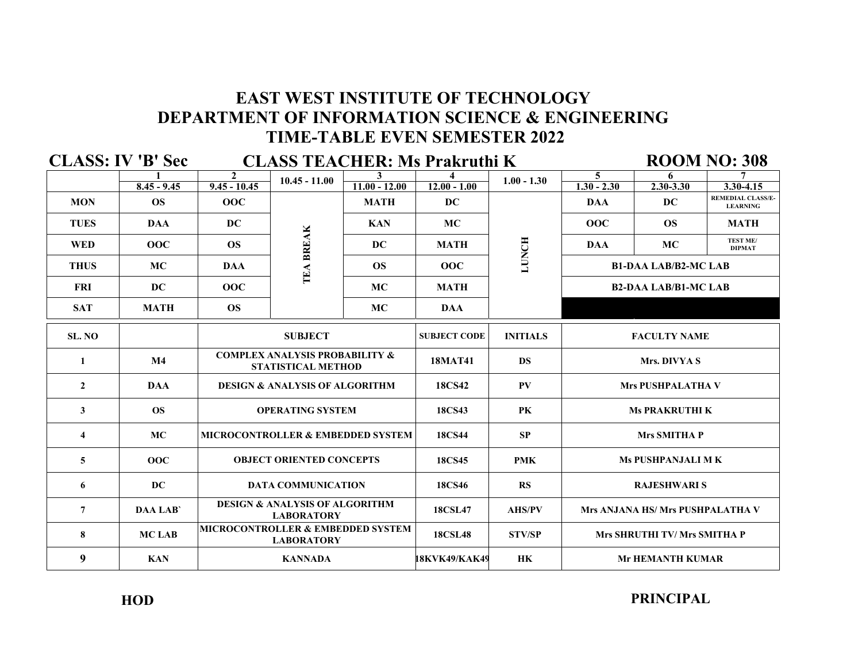|                | <b>CLASS: IV 'B' Sec</b> |                                                                        |                                 |                                              | <b>CLASS TEACHER: Ms Prakruthi K</b> |                 |                                  |               | <b>ROOM NO: 308</b>                         |
|----------------|--------------------------|------------------------------------------------------------------------|---------------------------------|----------------------------------------------|--------------------------------------|-----------------|----------------------------------|---------------|---------------------------------------------|
|                |                          | $\mathbf{2}$                                                           | $10.45 - 11.00$                 | $11.00 - 12.00$                              | $12.00 - 1.00$                       | $1.00 - 1.30$   | 5<br>$1.30 - 2.30$               | 6             |                                             |
|                | $8.45 - 9.45$            | $9.45 - 10.45$                                                         |                                 |                                              |                                      |                 |                                  | $2.30 - 3.30$ | $3.30 - 4.15$                               |
| <b>MON</b>     | <b>OS</b>                | 00C                                                                    |                                 | <b>MATH</b>                                  | <b>DC</b>                            |                 | <b>DAA</b>                       | <b>DC</b>     | <b>REMEDIAL CLASS/E-</b><br><b>LEARNING</b> |
| <b>TUES</b>    | <b>DAA</b>               | <b>DC</b>                                                              |                                 | <b>KAN</b>                                   | <b>MC</b>                            | LUNCH           | 00C                              | <b>OS</b>     | <b>MATH</b>                                 |
| <b>WED</b>     | 00C                      | <b>OS</b>                                                              | TEA BREAK                       | DC                                           | <b>MATH</b>                          |                 | <b>DAA</b>                       | <b>MC</b>     | <b>TEST ME/</b><br><b>DIPMAT</b>            |
| <b>THUS</b>    | <b>MC</b>                | <b>DAA</b>                                                             |                                 | <b>OS</b>                                    | 00C                                  |                 | <b>B1-DAA LAB/B2-MC LAB</b>      |               |                                             |
| <b>FRI</b>     | DC.                      | 00C                                                                    |                                 | <b>MC</b>                                    | <b>MATH</b>                          |                 | <b>B2-DAA LAB/B1-MC LAB</b>      |               |                                             |
| <b>SAT</b>     | <b>MATH</b>              | <b>OS</b>                                                              |                                 | <b>MC</b>                                    | <b>DAA</b>                           |                 |                                  |               |                                             |
| SL. NO         |                          | <b>SUBJECT</b>                                                         |                                 |                                              | <b>SUBJECT CODE</b>                  | <b>INITIALS</b> | <b>FACULTY NAME</b>              |               |                                             |
| 1              | M4                       | <b>COMPLEX ANALYSIS PROBABILITY &amp;</b><br><b>STATISTICAL METHOD</b> |                                 |                                              | <b>18MAT41</b>                       | <b>DS</b>       | Mrs. DIVYA S                     |               |                                             |
| $\mathbf{2}$   | <b>DAA</b>               | <b>DESIGN &amp; ANALYSIS OF ALGORITHM</b>                              |                                 |                                              | <b>18CS42</b>                        | PV              | <b>Mrs PUSHPALATHA V</b>         |               |                                             |
| 3              | <b>OS</b>                |                                                                        | <b>OPERATING SYSTEM</b>         |                                              | 18CS43                               | PK              | <b>Ms PRAKRUTHI K</b>            |               |                                             |
| 4              | MC                       |                                                                        |                                 | <b>MICROCONTROLLER &amp; EMBEDDED SYSTEM</b> | <b>18CS44</b>                        | <b>SP</b>       | <b>Mrs SMITHA P</b>              |               |                                             |
| 5              | 00C                      |                                                                        | <b>OBJECT ORIENTED CONCEPTS</b> |                                              | 18CS45                               | <b>PMK</b>      | <b>Ms PUSHPANJALI M K</b>        |               |                                             |
| 6              | DC.                      |                                                                        | <b>DATA COMMUNICATION</b>       |                                              | <b>18CS46</b>                        | RS              | <b>RAJESHWARI S</b>              |               |                                             |
| $\overline{7}$ | <b>DAA LAB</b>           | <b>DESIGN &amp; ANALYSIS OF ALGORITHM</b><br><b>LABORATORY</b>         |                                 |                                              | <b>18CSL47</b>                       | <b>AHS/PV</b>   | Mrs ANJANA HS/ Mrs PUSHPALATHA V |               |                                             |
| 8              | <b>MCLAB</b>             | <b>MICROCONTROLLER &amp; EMBEDDED SYSTEM</b><br><b>LABORATORY</b>      |                                 |                                              | <b>18CSL48</b>                       | <b>STV/SP</b>   | Mrs SHRUTHI TV/ Mrs SMITHA P     |               |                                             |
| 9              | <b>KAN</b>               | <b>KANNADA</b>                                                         |                                 |                                              | 18KVK49/KAK49                        | <b>HK</b>       | <b>Mr HEMANTH KUMAR</b>          |               |                                             |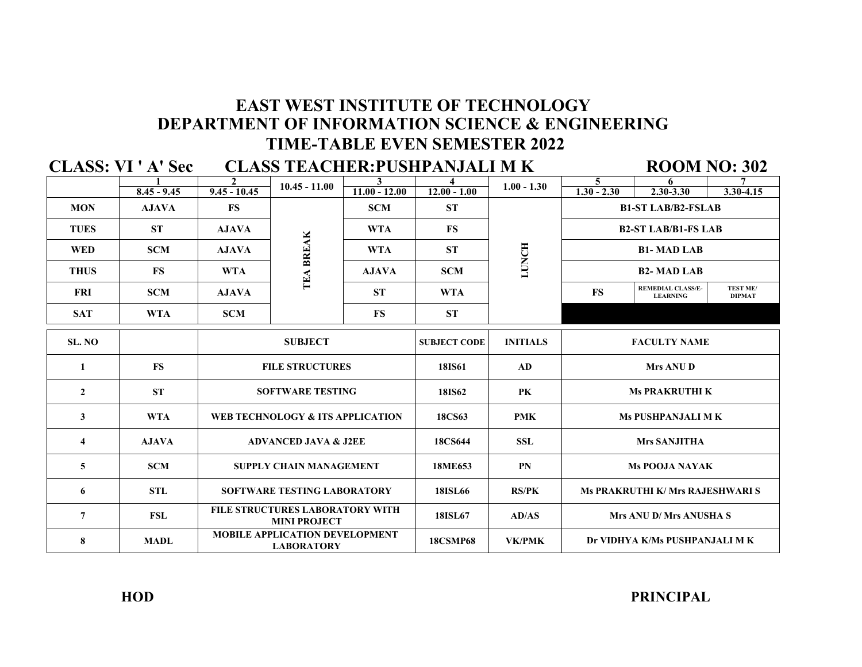### **DEPARTMENT OF INFORMATION SCIENCE & ENGINEERING TIME-TABLE EVEN SEMESTER 2022 EAST WEST INSTITUTE OF TECHNOLOGY**

**1 1 2 10.45 11.00 3 4 1.00 1.30 5 6 6 7 8.45 - 9.45 9.45 - 10.45 10.45 11.00 - 12.00 12.00 1.00 1.00 1.30 1.30 2.30 2.30 2.30 3.30 4.15 SL. NO SUBJECT CODE INITIALS 1 FS 18IS61 AD FILE STRUCTURES 2 ST 18IS62 PK SOFTWARE TESTING 3 WTA 18CS63 PMK WEB TECHNOLOGY & ITS APPLICATION 4 AJAVA ADVANCED JAVA & J2EE** 18CS644 **SSL 5 1 SCM 18ME653 PN 6 STL 18ISL66 RS/PK SOFTWARE TESTING LABORATORY 7 FSL 18ISL67 AD/AS 8 MADL 18CSMP68 VK/PMK B1-ST LAB/B2-FSLAB B2-ST LAB/B1-FS LAB Mrs ANU D Ms PRAKRUTHI K Ms PUSHPANJALI M K REMEDIAL CLASS/E-LEARNING Mrs ANU D/ Mrs ANUSHA S Dr VIDHYA K/Ms PUSHPANJALI M K Ms POOJA NAYAK FACULTY NAME Ms PRAKRUTHI K/ Mrs RAJESHWARI S Mrs SANJITHA TEST ME/ DIPMAT ROOM NO: 302 FS 1.00 - 1.30 LUNCHCLASS TEACHER:PUSHPANJALI M K FS SCM SCM WTA ST ST FS CLASS: VI ' A' Sec WTA FS 10.45 - 11.00 TEABREAKAJAVA ST AJAVA AJAVA WTA AJAVA WTA ST SCM SUBJECT SCM WTA FILE STRUCTURES LABORATORY WITH MINI PROJECT MOBILE APPLICATION DEVELOPMENT LABORATORY MON AJAVA ST SCM FS TUES WED THUS FRI SAT B1- MAD LAB B2- MAD LAB**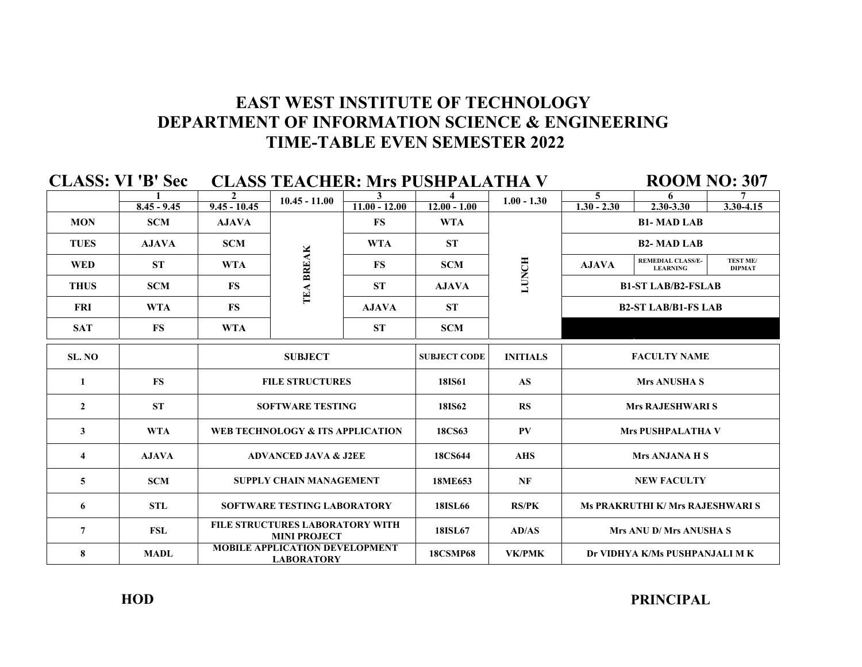|                | <b>CLASS: VI 'B' Sec</b> |                |                                                        |                 | <b>CLASS TEACHER: Mrs PUSHPALATHA V</b> |                 |                           | <b>ROOM NO: 307</b>                         |                                  |  |  |
|----------------|--------------------------|----------------|--------------------------------------------------------|-----------------|-----------------------------------------|-----------------|---------------------------|---------------------------------------------|----------------------------------|--|--|
|                |                          | $\mathbf{2}$   | $10.45 - 11.00$                                        |                 |                                         | $1.00 - 1.30$   | 5                         | 6                                           |                                  |  |  |
|                | $8.45 - 9.45$            | $9.45 - 10.45$ |                                                        | $11.00 - 12.00$ | $12.00 - 1.00$                          |                 | $1.30 - 2.30$             | 2.30-3.30                                   | $3.30 - 4.15$                    |  |  |
| <b>MON</b>     | <b>SCM</b>               | <b>AJAVA</b>   |                                                        | <b>FS</b>       | <b>WTA</b>                              |                 |                           |                                             |                                  |  |  |
| <b>TUES</b>    | <b>AJAVA</b>             | <b>SCM</b>     |                                                        | <b>WTA</b>      | <b>ST</b>                               | LUNCH           |                           | <b>B2-MAD LAB</b>                           |                                  |  |  |
| <b>WED</b>     | <b>ST</b>                | <b>WTA</b>     |                                                        | <b>FS</b>       | <b>SCM</b>                              |                 | <b>AJAVA</b>              | <b>REMEDIAL CLASS/E-</b><br><b>LEARNING</b> | <b>TEST ME/</b><br><b>DIPMAT</b> |  |  |
| <b>THUS</b>    | <b>SCM</b>               | <b>FS</b>      | TEA BREAK                                              | <b>ST</b>       | <b>AJAVA</b>                            |                 | <b>B1-ST LAB/B2-FSLAB</b> |                                             |                                  |  |  |
| <b>FRI</b>     | <b>WTA</b>               | <b>FS</b>      |                                                        | <b>AJAVA</b>    | <b>ST</b>                               |                 |                           | <b>B2-ST LAB/B1-FS LAB</b>                  |                                  |  |  |
| <b>SAT</b>     | <b>FS</b>                | <b>WTA</b>     |                                                        | <b>ST</b>       | <b>SCM</b>                              |                 |                           |                                             |                                  |  |  |
| SL. NO         |                          | <b>SUBJECT</b> |                                                        |                 | <b>SUBJECT CODE</b>                     | <b>INITIALS</b> | <b>FACULTY NAME</b>       |                                             |                                  |  |  |
| 1              | <b>FS</b>                |                | <b>FILE STRUCTURES</b>                                 |                 |                                         | <b>AS</b>       | <b>Mrs ANUSHA S</b>       |                                             |                                  |  |  |
| $\overline{2}$ | <b>ST</b>                |                | <b>SOFTWARE TESTING</b>                                |                 | <b>18IS62</b>                           | <b>RS</b>       | <b>Mrs RAJESHWARI S</b>   |                                             |                                  |  |  |
| 3              | <b>WTA</b>               |                | WEB TECHNOLOGY & ITS APPLICATION                       |                 | 18CS63                                  | PV              |                           | <b>Mrs PUSHPALATHA V</b>                    |                                  |  |  |
| 4              | <b>AJAVA</b>             |                | <b>ADVANCED JAVA &amp; J2EE</b>                        |                 | 18CS644                                 | <b>AHS</b>      | <b>Mrs ANJANA H S</b>     |                                             |                                  |  |  |
| 5              | <b>SCM</b>               |                | <b>SUPPLY CHAIN MANAGEMENT</b>                         |                 | 18ME653                                 | NF              |                           | <b>NEW FACULTY</b>                          |                                  |  |  |
| 6              | <b>STL</b>               |                | <b>SOFTWARE TESTING LABORATORY</b>                     |                 | <b>18ISL66</b>                          | <b>RS/PK</b>    |                           | <b>Ms PRAKRUTHI K/ Mrs RAJESHWARI S</b>     |                                  |  |  |
| 7              | <b>FSL</b>               |                | FILE STRUCTURES LABORATORY WITH<br><b>MINI PROJECT</b> |                 | 18ISL67                                 | AD/AS           |                           | Mrs ANU D/Mrs ANUSHA S                      |                                  |  |  |
| 8              | <b>MADL</b>              |                | MOBILE APPLICATION DEVELOPMENT<br><b>LABORATORY</b>    |                 | <b>18CSMP68</b>                         | <b>VK/PMK</b>   |                           | Dr VIDHYA K/Ms PUSHPANJALI M K              |                                  |  |  |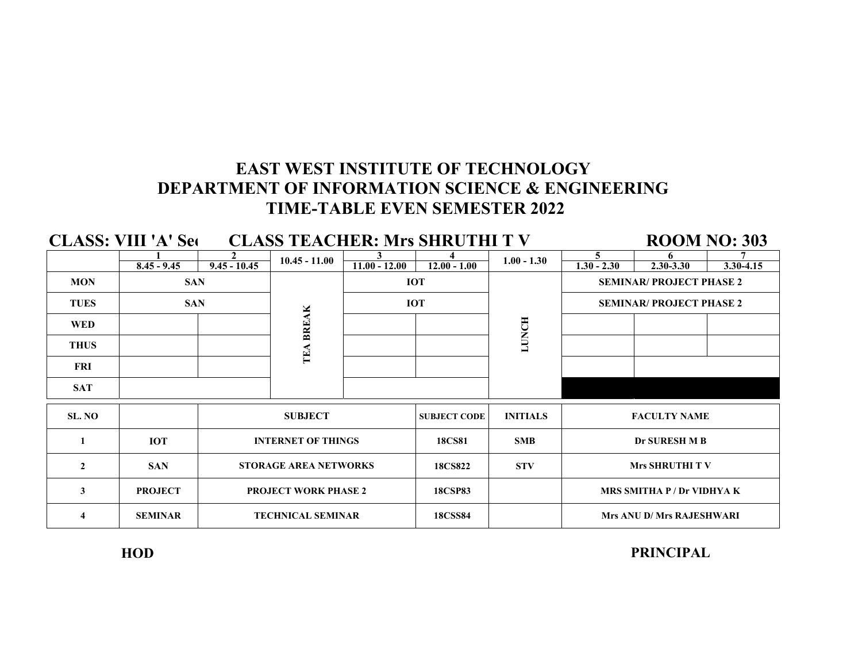|                | <b>CLASS: VIII 'A' Seq</b> |                             |                              | <b>CLASS TEACHER: Mrs SHRUTHI TV</b> |                     |                 |                                   | <b>ROOM NO: 303</b>              |               |  |
|----------------|----------------------------|-----------------------------|------------------------------|--------------------------------------|---------------------|-----------------|-----------------------------------|----------------------------------|---------------|--|
|                |                            |                             | $10.45 - 11.00$              |                                      |                     | $1.00 - 1.30$   | 5                                 |                                  |               |  |
|                | $8.45 - 9.45$              | $9.45 - 10.45$              |                              | $11.00 - 12.00$                      | $12.00 - 1.00$      |                 | $1.30 - 2.30$                     | $2.30 - 3.30$                    | $3.30 - 4.15$ |  |
| <b>MON</b>     | <b>SAN</b>                 |                             |                              | <b>IOT</b>                           |                     |                 |                                   | <b>SEMINAR/ PROJECT PHASE 2</b>  |               |  |
| <b>TUES</b>    | <b>SAN</b>                 |                             |                              | <b>IOT</b>                           |                     |                 | <b>SEMINAR/ PROJECT PHASE 2</b>   |                                  |               |  |
| <b>WED</b>     |                            |                             |                              |                                      |                     | LUNCH           |                                   |                                  |               |  |
| <b>THUS</b>    |                            |                             | TEA BREAK                    |                                      |                     |                 |                                   |                                  |               |  |
| FRI            |                            |                             |                              |                                      |                     |                 |                                   |                                  |               |  |
| <b>SAT</b>     |                            |                             |                              |                                      |                     |                 |                                   |                                  |               |  |
| SL. NO         |                            |                             | <b>SUBJECT</b>               |                                      | <b>SUBJECT CODE</b> | <b>INITIALS</b> |                                   | <b>FACULTY NAME</b>              |               |  |
|                | <b>IOT</b>                 |                             | <b>INTERNET OF THINGS</b>    |                                      | <b>18CS81</b>       | <b>SMB</b>      |                                   | Dr SURESH M B                    |               |  |
| $\overline{2}$ | <b>SAN</b>                 |                             | <b>STORAGE AREA NETWORKS</b> |                                      | <b>18CS822</b>      | <b>STV</b>      |                                   | <b>Mrs SHRUTHI TV</b>            |               |  |
| 3              | <b>PROJECT</b>             | <b>PROJECT WORK PHASE 2</b> |                              |                                      | <b>18CSP83</b>      |                 | <b>MRS SMITHA P / Dr VIDHYA K</b> |                                  |               |  |
| 4              | <b>SEMINAR</b>             | <b>TECHNICAL SEMINAR</b>    |                              |                                      | <b>18CSS84</b>      |                 |                                   | <b>Mrs ANU D/ Mrs RAJESHWARI</b> |               |  |

**HOD**